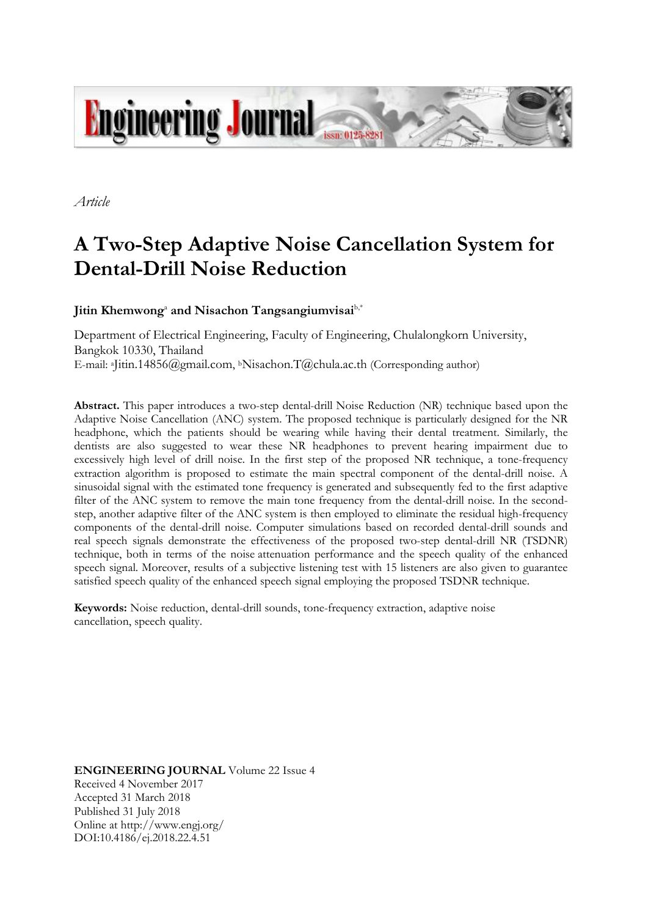

*Article*

# **A Two-Step Adaptive Noise Cancellation System for Dental-Drill Noise Reduction**

**Jitin Khemwong**<sup>a</sup> **and Nisachon Tangsangiumvisai**b,\*

Department of Electrical Engineering, Faculty of Engineering, Chulalongkorn University, Bangkok 10330, Thailand E-mail: <sup>a</sup>Jitin.14856@gmail.com, <sup>b</sup>Nisachon.T@chula.ac.th (Corresponding author)

**Abstract.** This paper introduces a two-step dental-drill Noise Reduction (NR) technique based upon the Adaptive Noise Cancellation (ANC) system. The proposed technique is particularly designed for the NR headphone, which the patients should be wearing while having their dental treatment. Similarly, the dentists are also suggested to wear these NR headphones to prevent hearing impairment due to excessively high level of drill noise. In the first step of the proposed NR technique, a tone-frequency extraction algorithm is proposed to estimate the main spectral component of the dental-drill noise. A sinusoidal signal with the estimated tone frequency is generated and subsequently fed to the first adaptive filter of the ANC system to remove the main tone frequency from the dental-drill noise. In the secondstep, another adaptive filter of the ANC system is then employed to eliminate the residual high-frequency components of the dental-drill noise. Computer simulations based on recorded dental-drill sounds and real speech signals demonstrate the effectiveness of the proposed two-step dental-drill NR (TSDNR) technique, both in terms of the noise attenuation performance and the speech quality of the enhanced speech signal. Moreover, results of a subjective listening test with 15 listeners are also given to guarantee satisfied speech quality of the enhanced speech signal employing the proposed TSDNR technique.

**Keywords:** Noise reduction, dental-drill sounds, tone-frequency extraction, adaptive noise cancellation, speech quality.

**ENGINEERING JOURNAL** Volume 22 Issue 4 Received 4 November 2017 Accepted 31 March 2018 Published 31 July 2018 Online at http://www.engj.org/ DOI:10.4186/ej.2018.22.4.51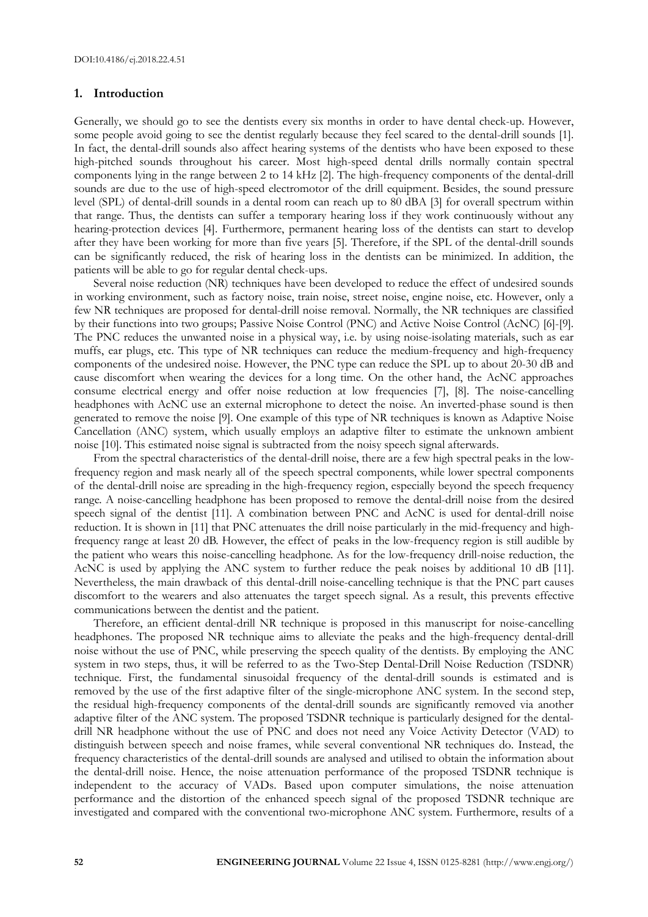### **1. Introduction**

Generally, we should go to see the dentists every six months in order to have dental check-up. However, some people avoid going to see the dentist regularly because they feel scared to the dental-drill sounds [1]. In fact, the dental-drill sounds also affect hearing systems of the dentists who have been exposed to these high-pitched sounds throughout his career. Most high-speed dental drills normally contain spectral components lying in the range between 2 to 14 kHz [2]. The high-frequency components of the dental-drill sounds are due to the use of high-speed electromotor of the drill equipment. Besides, the sound pressure level (SPL) of dental-drill sounds in a dental room can reach up to 80 dBA [3] for overall spectrum within that range. Thus, the dentists can suffer a temporary hearing loss if they work continuously without any hearing-protection devices [4]. Furthermore, permanent hearing loss of the dentists can start to develop after they have been working for more than five years [5]. Therefore, if the SPL of the dental-drill sounds can be significantly reduced, the risk of hearing loss in the dentists can be minimized. In addition, the patients will be able to go for regular dental check-ups.

Several noise reduction (NR) techniques have been developed to reduce the effect of undesired sounds in working environment, such as factory noise, train noise, street noise, engine noise, etc. However, only a few NR techniques are proposed for dental-drill noise removal. Normally, the NR techniques are classified by their functions into two groups; Passive Noise Control (PNC) and Active Noise Control (AcNC) [6]-[9]. The PNC reduces the unwanted noise in a physical way, i.e. by using noise-isolating materials, such as ear muffs, ear plugs, etc. This type of NR techniques can reduce the medium-frequency and high-frequency components of the undesired noise. However, the PNC type can reduce the SPL up to about 20-30 dB and cause discomfort when wearing the devices for a long time. On the other hand, the AcNC approaches consume electrical energy and offer noise reduction at low frequencies [7], [8]. The noise-cancelling headphones with AcNC use an external microphone to detect the noise. An inverted-phase sound is then generated to remove the noise [9]. One example of this type of NR techniques is known as Adaptive Noise Cancellation (ANC) system, which usually employs an adaptive filter to estimate the unknown ambient noise [10]. This estimated noise signal is subtracted from the noisy speech signal afterwards.

From the spectral characteristics of the dental-drill noise, there are a few high spectral peaks in the lowfrequency region and mask nearly all of the speech spectral components, while lower spectral components of the dental-drill noise are spreading in the high-frequency region, especially beyond the speech frequency range. A noise-cancelling headphone has been proposed to remove the dental-drill noise from the desired speech signal of the dentist [11]. A combination between PNC and AcNC is used for dental-drill noise reduction. It is shown in [11] that PNC attenuates the drill noise particularly in the mid-frequency and highfrequency range at least 20 dB. However, the effect of peaks in the low-frequency region is still audible by the patient who wears this noise-cancelling headphone. As for the low-frequency drill-noise reduction, the AcNC is used by applying the ANC system to further reduce the peak noises by additional 10 dB [11]. Nevertheless, the main drawback of this dental-drill noise-cancelling technique is that the PNC part causes discomfort to the wearers and also attenuates the target speech signal. As a result, this prevents effective communications between the dentist and the patient.

Therefore, an efficient dental-drill NR technique is proposed in this manuscript for noise-cancelling headphones. The proposed NR technique aims to alleviate the peaks and the high-frequency dental-drill noise without the use of PNC, while preserving the speech quality of the dentists. By employing the ANC system in two steps, thus, it will be referred to as the Two-Step Dental-Drill Noise Reduction (TSDNR) technique. First, the fundamental sinusoidal frequency of the dental-drill sounds is estimated and is removed by the use of the first adaptive filter of the single-microphone ANC system. In the second step, the residual high-frequency components of the dental-drill sounds are significantly removed via another adaptive filter of the ANC system. The proposed TSDNR technique is particularly designed for the dentaldrill NR headphone without the use of PNC and does not need any Voice Activity Detector (VAD) to distinguish between speech and noise frames, while several conventional NR techniques do. Instead, the frequency characteristics of the dental-drill sounds are analysed and utilised to obtain the information about the dental-drill noise. Hence, the noise attenuation performance of the proposed TSDNR technique is independent to the accuracy of VADs. Based upon computer simulations, the noise attenuation performance and the distortion of the enhanced speech signal of the proposed TSDNR technique are investigated and compared with the conventional two-microphone ANC system. Furthermore, results of a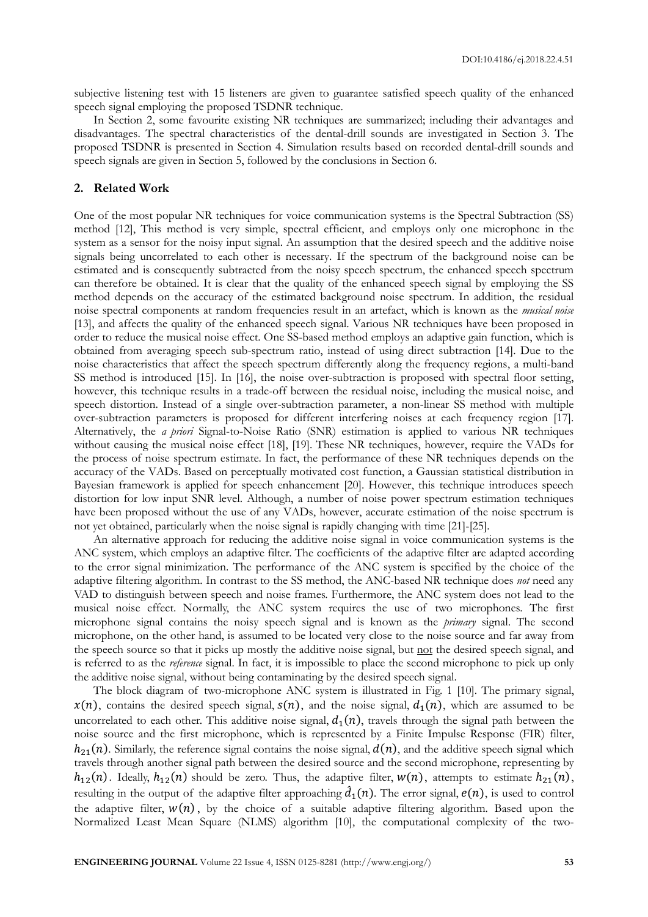subjective listening test with 15 listeners are given to guarantee satisfied speech quality of the enhanced speech signal employing the proposed TSDNR technique.

In Section 2, some favourite existing NR techniques are summarized; including their advantages and disadvantages. The spectral characteristics of the dental-drill sounds are investigated in Section 3. The proposed TSDNR is presented in Section 4. Simulation results based on recorded dental-drill sounds and speech signals are given in Section 5, followed by the conclusions in Section 6.

# **2. Related Work**

One of the most popular NR techniques for voice communication systems is the Spectral Subtraction (SS) method [12], This method is very simple, spectral efficient, and employs only one microphone in the system as a sensor for the noisy input signal. An assumption that the desired speech and the additive noise signals being uncorrelated to each other is necessary. If the spectrum of the background noise can be estimated and is consequently subtracted from the noisy speech spectrum, the enhanced speech spectrum can therefore be obtained. It is clear that the quality of the enhanced speech signal by employing the SS method depends on the accuracy of the estimated background noise spectrum. In addition, the residual noise spectral components at random frequencies result in an artefact, which is known as the *musical noise* [13], and affects the quality of the enhanced speech signal. Various NR techniques have been proposed in order to reduce the musical noise effect. One SS-based method employs an adaptive gain function, which is obtained from averaging speech sub-spectrum ratio, instead of using direct subtraction [14]. Due to the noise characteristics that affect the speech spectrum differently along the frequency regions, a multi-band SS method is introduced [15]. In [16], the noise over-subtraction is proposed with spectral floor setting, however, this technique results in a trade-off between the residual noise, including the musical noise, and speech distortion. Instead of a single over-subtraction parameter, a non-linear SS method with multiple over-subtraction parameters is proposed for different interfering noises at each frequency region [17]. Alternatively, the *a priori* Signal-to-Noise Ratio (SNR) estimation is applied to various NR techniques without causing the musical noise effect [18], [19]. These NR techniques, however, require the VADs for the process of noise spectrum estimate. In fact, the performance of these NR techniques depends on the accuracy of the VADs. Based on perceptually motivated cost function, a Gaussian statistical distribution in Bayesian framework is applied for speech enhancement [20]. However, this technique introduces speech distortion for low input SNR level. Although, a number of noise power spectrum estimation techniques have been proposed without the use of any VADs, however, accurate estimation of the noise spectrum is not yet obtained, particularly when the noise signal is rapidly changing with time [21]-[25].

An alternative approach for reducing the additive noise signal in voice communication systems is the ANC system, which employs an adaptive filter. The coefficients of the adaptive filter are adapted according to the error signal minimization. The performance of the ANC system is specified by the choice of the adaptive filtering algorithm. In contrast to the SS method, the ANC-based NR technique does *not* need any VAD to distinguish between speech and noise frames. Furthermore, the ANC system does not lead to the musical noise effect. Normally, the ANC system requires the use of two microphones. The first microphone signal contains the noisy speech signal and is known as the *primary* signal. The second microphone, on the other hand, is assumed to be located very close to the noise source and far away from the speech source so that it picks up mostly the additive noise signal, but not the desired speech signal, and is referred to as the *reference* signal. In fact, it is impossible to place the second microphone to pick up only the additive noise signal, without being contaminating by the desired speech signal.

The block diagram of two-microphone ANC system is illustrated in Fig. 1 [10]. The primary signal,  $x(n)$ , contains the desired speech signal,  $s(n)$ , and the noise signal,  $d_1(n)$ , which are assumed to be uncorrelated to each other. This additive noise signal,  $d_1(n)$ , travels through the signal path between the noise source and the first microphone, which is represented by a Finite Impulse Response (FIR) filter,  $h_{21}(n)$ . Similarly, the reference signal contains the noise signal,  $d(n)$ , and the additive speech signal which travels through another signal path between the desired source and the second microphone, representing by  $h_{12}(n)$ . Ideally,  $h_{12}(n)$  should be zero. Thus, the adaptive filter,  $w(n)$ , attempts to estimate  $h_{21}(n)$ , resulting in the output of the adaptive filter approaching  $\hat{d}_1(n)$ . The error signal,  $e(n)$ , is used to control the adaptive filter,  $w(n)$ , by the choice of a suitable adaptive filtering algorithm. Based upon the Normalized Least Mean Square (NLMS) algorithm [10], the computational complexity of the two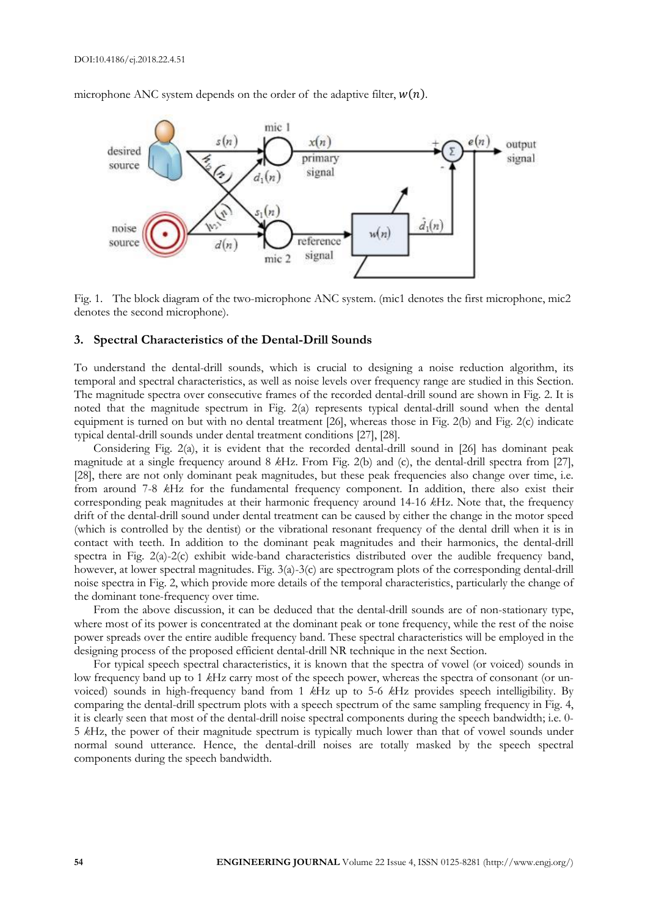microphone ANC system depends on the order of the adaptive filter,  $w(n)$ .



Fig. 1. The block diagram of the two-microphone ANC system. (mic1 denotes the first microphone, mic2 denotes the second microphone).

## **3. Spectral Characteristics of the Dental-Drill Sounds**

To understand the dental-drill sounds, which is crucial to designing a noise reduction algorithm, its temporal and spectral characteristics, as well as noise levels over frequency range are studied in this Section. The magnitude spectra over consecutive frames of the recorded dental-drill sound are shown in Fig. 2. It is noted that the magnitude spectrum in Fig. 2(a) represents typical dental-drill sound when the dental equipment is turned on but with no dental treatment [26], whereas those in Fig. 2(b) and Fig. 2(c) indicate typical dental-drill sounds under dental treatment conditions [27], [28].

Considering Fig. 2(a), it is evident that the recorded dental-drill sound in [26] has dominant peak magnitude at a single frequency around 8 *k*Hz. From Fig. 2(b) and (c), the dental-drill spectra from [27], [28], there are not only dominant peak magnitudes, but these peak frequencies also change over time, i.e. from around 7-8 *k*Hz for the fundamental frequency component. In addition, there also exist their corresponding peak magnitudes at their harmonic frequency around 14-16 *k*Hz. Note that, the frequency drift of the dental-drill sound under dental treatment can be caused by either the change in the motor speed (which is controlled by the dentist) or the vibrational resonant frequency of the dental drill when it is in contact with teeth. In addition to the dominant peak magnitudes and their harmonics, the dental-drill spectra in Fig. 2(a)-2(c) exhibit wide-band characteristics distributed over the audible frequency band, however, at lower spectral magnitudes. Fig. 3(a)-3(c) are spectrogram plots of the corresponding dental-drill noise spectra in Fig. 2, which provide more details of the temporal characteristics, particularly the change of the dominant tone-frequency over time.

From the above discussion, it can be deduced that the dental-drill sounds are of non-stationary type, where most of its power is concentrated at the dominant peak or tone frequency, while the rest of the noise power spreads over the entire audible frequency band. These spectral characteristics will be employed in the designing process of the proposed efficient dental-drill NR technique in the next Section.

For typical speech spectral characteristics, it is known that the spectra of vowel (or voiced) sounds in low frequency band up to 1 *k*Hz carry most of the speech power, whereas the spectra of consonant (or unvoiced) sounds in high-frequency band from 1 *k*Hz up to 5-6 *k*Hz provides speech intelligibility. By comparing the dental-drill spectrum plots with a speech spectrum of the same sampling frequency in Fig. 4, it is clearly seen that most of the dental-drill noise spectral components during the speech bandwidth; i.e. 0- 5 *k*Hz, the power of their magnitude spectrum is typically much lower than that of vowel sounds under normal sound utterance. Hence, the dental-drill noises are totally masked by the speech spectral components during the speech bandwidth.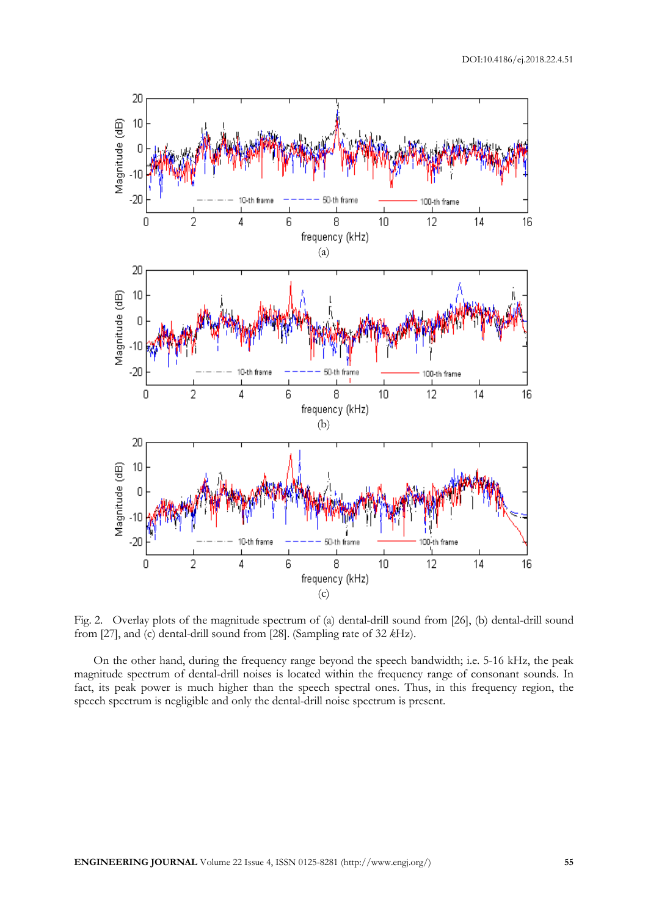

Fig. 2. Overlay plots of the magnitude spectrum of (a) dental-drill sound from [26], (b) dental-drill sound from [27], and (c) dental-drill sound from [28]. (Sampling rate of 32 *k*Hz).

On the other hand, during the frequency range beyond the speech bandwidth; i.e. 5-16 kHz, the peak magnitude spectrum of dental-drill noises is located within the frequency range of consonant sounds. In fact, its peak power is much higher than the speech spectral ones. Thus, in this frequency region, the speech spectrum is negligible and only the dental-drill noise spectrum is present.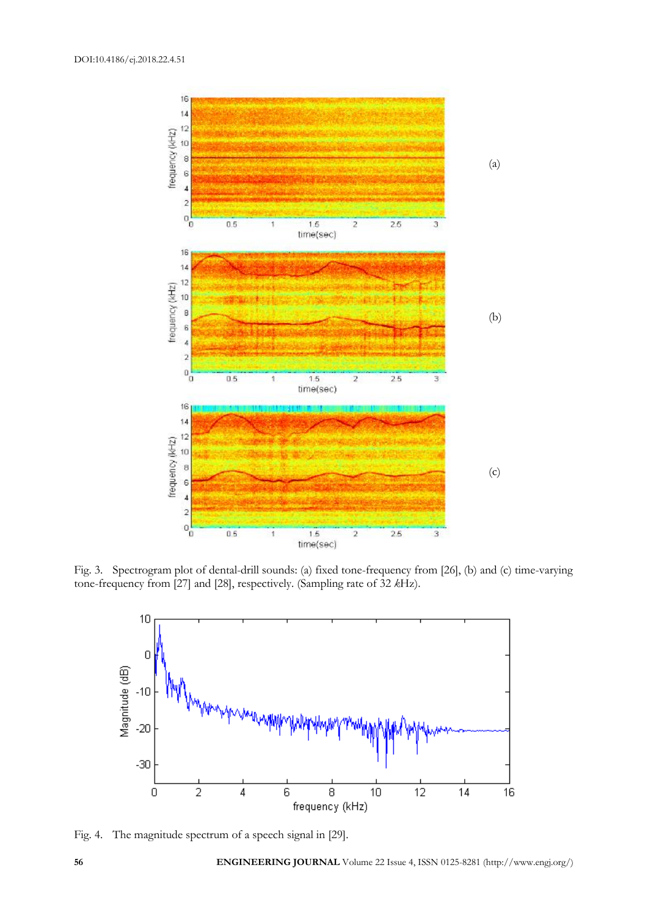

Fig. 3. Spectrogram plot of dental-drill sounds: (a) fixed tone-frequency from [26], (b) and (c) time-varying tone-frequency from [27] and [28], respectively. (Sampling rate of 32 *k*Hz).



Fig. 4. The magnitude spectrum of a speech signal in [29].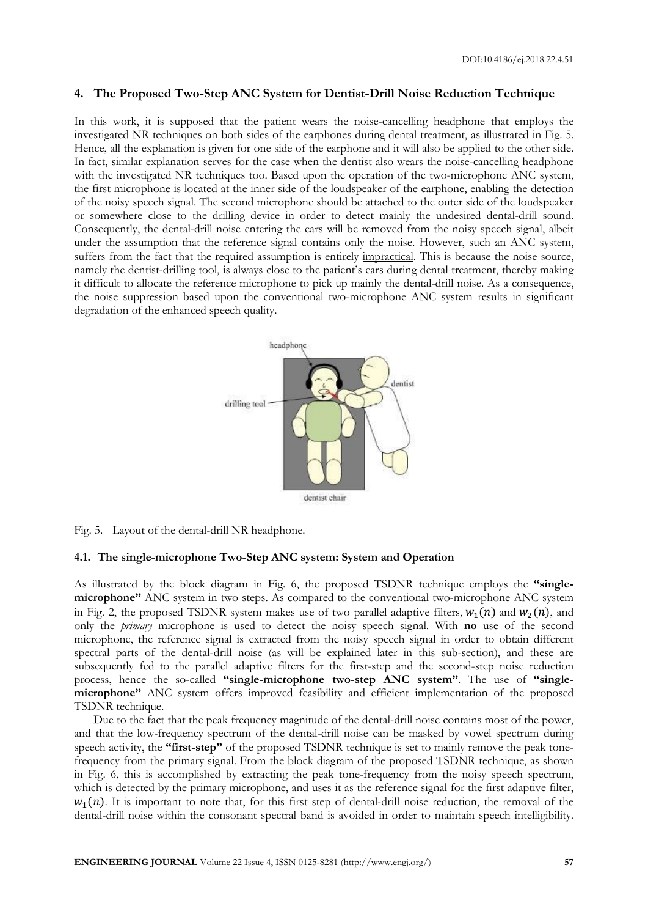### **4. The Proposed Two-Step ANC System for Dentist-Drill Noise Reduction Technique**

In this work, it is supposed that the patient wears the noise-cancelling headphone that employs the investigated NR techniques on both sides of the earphones during dental treatment, as illustrated in Fig. 5. Hence, all the explanation is given for one side of the earphone and it will also be applied to the other side. In fact, similar explanation serves for the case when the dentist also wears the noise-cancelling headphone with the investigated NR techniques too. Based upon the operation of the two-microphone ANC system, the first microphone is located at the inner side of the loudspeaker of the earphone, enabling the detection of the noisy speech signal. The second microphone should be attached to the outer side of the loudspeaker or somewhere close to the drilling device in order to detect mainly the undesired dental-drill sound. Consequently, the dental-drill noise entering the ears will be removed from the noisy speech signal, albeit under the assumption that the reference signal contains only the noise. However, such an ANC system, suffers from the fact that the required assumption is entirely impractical. This is because the noise source, namely the dentist-drilling tool, is always close to the patient's ears during dental treatment, thereby making it difficult to allocate the reference microphone to pick up mainly the dental-drill noise. As a consequence, the noise suppression based upon the conventional two-microphone ANC system results in significant degradation of the enhanced speech quality.



Fig. 5. Layout of the dental-drill NR headphone.

## **4.1. The single-microphone Two-Step ANC system: System and Operation**

As illustrated by the block diagram in Fig. 6, the proposed TSDNR technique employs the **"singlemicrophone"** ANC system in two steps. As compared to the conventional two-microphone ANC system in Fig. 2, the proposed TSDNR system makes use of two parallel adaptive filters,  $w_1(n)$  and  $w_2(n)$ , and only the *primary* microphone is used to detect the noisy speech signal. With **no** use of the second microphone, the reference signal is extracted from the noisy speech signal in order to obtain different spectral parts of the dental-drill noise (as will be explained later in this sub-section), and these are subsequently fed to the parallel adaptive filters for the first-step and the second-step noise reduction process, hence the so-called **"single-microphone two-step ANC system"**. The use of **"singlemicrophone"** ANC system offers improved feasibility and efficient implementation of the proposed TSDNR technique.

Due to the fact that the peak frequency magnitude of the dental-drill noise contains most of the power, and that the low-frequency spectrum of the dental-drill noise can be masked by vowel spectrum during speech activity, the **"first-step"** of the proposed TSDNR technique is set to mainly remove the peak tonefrequency from the primary signal. From the block diagram of the proposed TSDNR technique, as shown in Fig. 6, this is accomplished by extracting the peak tone-frequency from the noisy speech spectrum, which is detected by the primary microphone, and uses it as the reference signal for the first adaptive filter,  $w_1(n)$ . It is important to note that, for this first step of dental-drill noise reduction, the removal of the dental-drill noise within the consonant spectral band is avoided in order to maintain speech intelligibility.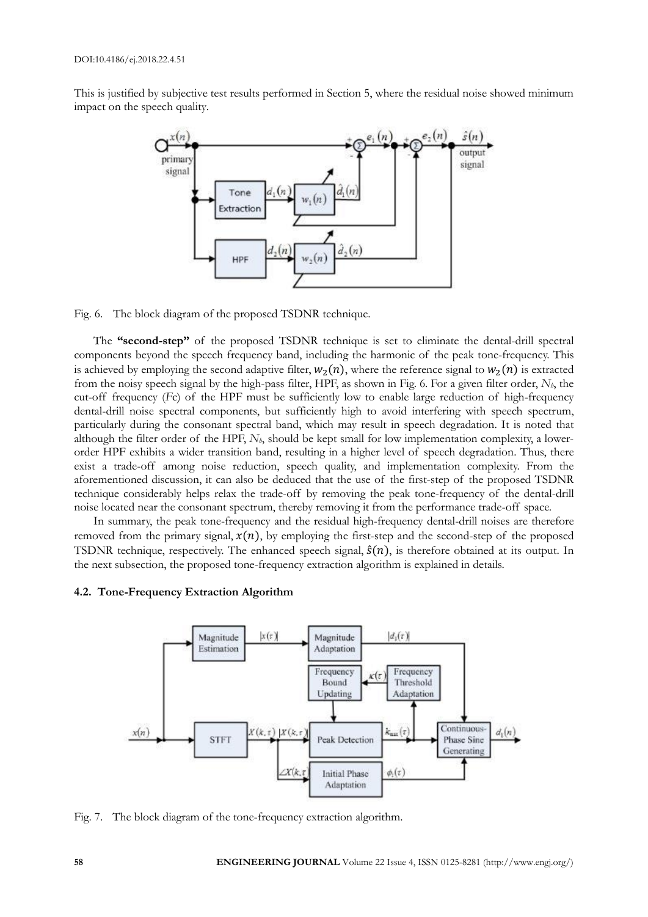This is justified by subjective test results performed in Section 5, where the residual noise showed minimum impact on the speech quality.



Fig. 6. The block diagram of the proposed TSDNR technique.

The **"second-step"** of the proposed TSDNR technique is set to eliminate the dental-drill spectral components beyond the speech frequency band, including the harmonic of the peak tone-frequency. This is achieved by employing the second adaptive filter,  $w_2(n)$ , where the reference signal to  $w_2(n)$  is extracted from the noisy speech signal by the high-pass filter, HPF, as shown in Fig. 6. For a given filter order, *Nh*, the cut-off frequency (*F*c) of the HPF must be sufficiently low to enable large reduction of high-frequency dental-drill noise spectral components, but sufficiently high to avoid interfering with speech spectrum, particularly during the consonant spectral band, which may result in speech degradation. It is noted that although the filter order of the HPF, *Nh*, should be kept small for low implementation complexity, a lowerorder HPF exhibits a wider transition band, resulting in a higher level of speech degradation. Thus, there exist a trade-off among noise reduction, speech quality, and implementation complexity. From the aforementioned discussion, it can also be deduced that the use of the first-step of the proposed TSDNR technique considerably helps relax the trade-off by removing the peak tone-frequency of the dental-drill noise located near the consonant spectrum, thereby removing it from the performance trade-off space.

In summary, the peak tone-frequency and the residual high-frequency dental-drill noises are therefore removed from the primary signal,  $x(n)$ , by employing the first-step and the second-step of the proposed TSDNR technique, respectively. The enhanced speech signal,  $\hat{s}(n)$ , is therefore obtained at its output. In the next subsection, the proposed tone-frequency extraction algorithm is explained in details.

## **4.2. Tone-Frequency Extraction Algorithm**



Fig. 7. The block diagram of the tone-frequency extraction algorithm.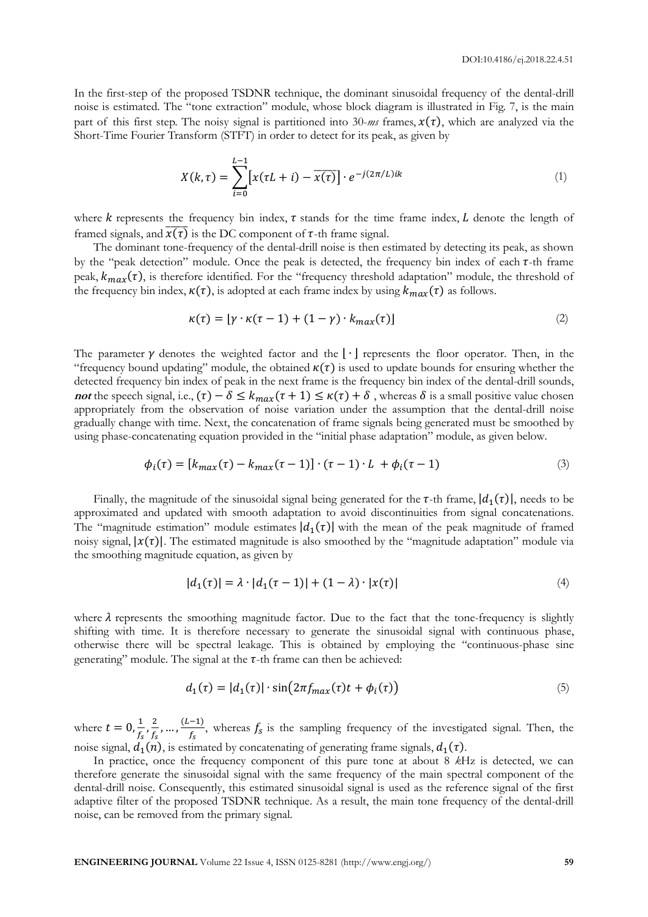In the first-step of the proposed TSDNR technique, the dominant sinusoidal frequency of the dental-drill noise is estimated. The "tone extraction" module, whose block diagram is illustrated in Fig. 7, is the main part of this first step. The noisy signal is partitioned into 30-*ms* frames,  $x(\tau)$ , which are analyzed via the Short-Time Fourier Transform (STFT) in order to detect for its peak, as given by

$$
X(k,\tau) = \sum_{i=0}^{L-1} \left[ x(\tau L + i) - \overline{x(\tau)} \right] \cdot e^{-j(2\pi/L)ik} \tag{1}
$$

where  $k$  represents the frequency bin index,  $\tau$  stands for the time frame index,  $L$  denote the length of framed signals, and  $\overline{x(\tau)}$  is the DC component of  $\tau$ -th frame signal.

The dominant tone-frequency of the dental-drill noise is then estimated by detecting its peak, as shown by the "peak detection" module. Once the peak is detected, the frequency bin index of each  $\tau$ -th frame peak,  $k_{max}(\tau)$ , is therefore identified. For the "frequency threshold adaptation" module, the threshold of the frequency bin index,  $\kappa(\tau)$ , is adopted at each frame index by using  $k_{max}(\tau)$  as follows.

$$
\kappa(\tau) = [\gamma \cdot \kappa(\tau - 1) + (1 - \gamma) \cdot k_{max}(\tau)] \tag{2}
$$

The parameter  $\gamma$  denotes the weighted factor and the  $\vert \cdot \vert$  represents the floor operator. Then, in the "frequency bound updating" module, the obtained  $\kappa(\tau)$  is used to update bounds for ensuring whether the detected frequency bin index of peak in the next frame is the frequency bin index of the dental-drill sounds, *not* the speech signal, i.e.,  $(\tau) - \delta \le k_{max}(\tau + 1) \le \kappa(\tau) + \delta$ , whereas  $\delta$  is a small positive value chosen appropriately from the observation of noise variation under the assumption that the dental-drill noise gradually change with time. Next, the concatenation of frame signals being generated must be smoothed by using phase-concatenating equation provided in the "initial phase adaptation" module, as given below.

$$
\phi_i(\tau) = [k_{max}(\tau) - k_{max}(\tau - 1)] \cdot (\tau - 1) \cdot L + \phi_i(\tau - 1) \tag{3}
$$

Finally, the magnitude of the sinusoidal signal being generated for the  $\tau$ -th frame,  $|d_1(\tau)|$ , needs to be approximated and updated with smooth adaptation to avoid discontinuities from signal concatenations. The "magnitude estimation" module estimates  $|d_1(\tau)|$  with the mean of the peak magnitude of framed noisy signal,  $|x(\tau)|$ . The estimated magnitude is also smoothed by the "magnitude adaptation" module via the smoothing magnitude equation, as given by

$$
|d_1(\tau)| = \lambda \cdot |d_1(\tau - 1)| + (1 - \lambda) \cdot |x(\tau)| \tag{4}
$$

where  $\lambda$  represents the smoothing magnitude factor. Due to the fact that the tone-frequency is slightly shifting with time. It is therefore necessary to generate the sinusoidal signal with continuous phase, otherwise there will be spectral leakage. This is obtained by employing the "continuous-phase sine generating" module. The signal at the  $\tau$ -th frame can then be achieved:

$$
d_1(\tau) = |d_1(\tau)| \cdot \sin(2\pi f_{max}(\tau)t + \phi_i(\tau))
$$
\n<sup>(5)</sup>

where  $t=0, \frac{1}{\epsilon}$  $\frac{1}{f_s}, \frac{2}{f_s}$  $\frac{2}{f_s}, \ldots, \frac{(L-1)}{f_s}$  $\frac{(-1)}{f_s}$ , whereas  $f_s$  is the sampling frequency of the investigated signal. Then, the noise signal,  $d_1(n)$ , is estimated by concatenating of generating frame signals,  $d_1(\tau)$ .

In practice, once the frequency component of this pure tone at about 8 *k*Hz is detected, we can therefore generate the sinusoidal signal with the same frequency of the main spectral component of the dental-drill noise. Consequently, this estimated sinusoidal signal is used as the reference signal of the first adaptive filter of the proposed TSDNR technique. As a result, the main tone frequency of the dental-drill noise, can be removed from the primary signal.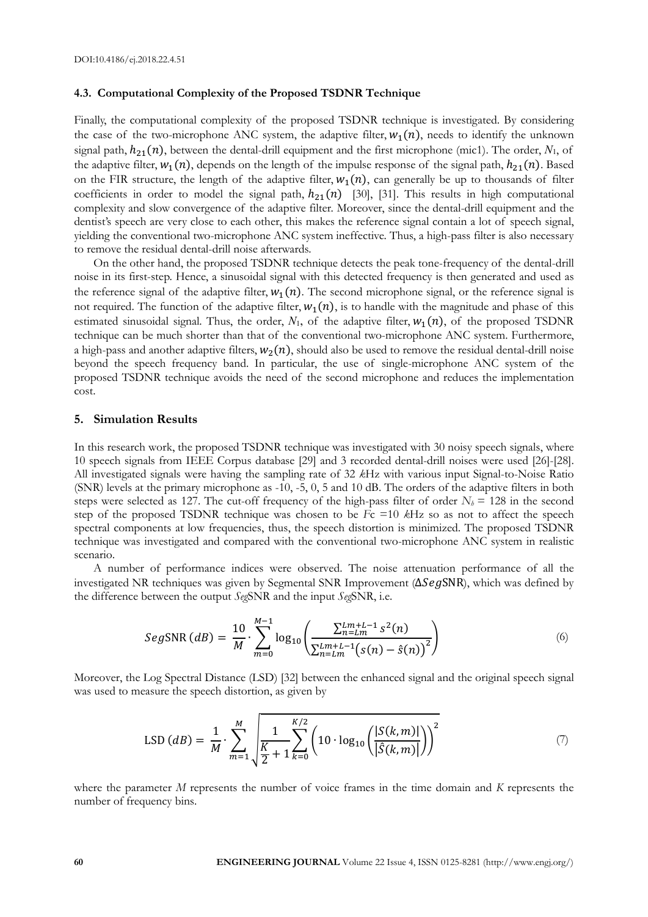#### **4.3. Computational Complexity of the Proposed TSDNR Technique**

Finally, the computational complexity of the proposed TSDNR technique is investigated. By considering the case of the two-microphone ANC system, the adaptive filter,  $w_1(n)$ , needs to identify the unknown signal path,  $h_{21}(n)$ , between the dental-drill equipment and the first microphone (mic1). The order,  $N_1$ , of the adaptive filter,  $w_1(n)$ , depends on the length of the impulse response of the signal path,  $h_{21}(n)$ . Based on the FIR structure, the length of the adaptive filter,  $w_1(n)$ , can generally be up to thousands of filter coefficients in order to model the signal path,  $h_{21}(n)$  [30], [31]. This results in high computational complexity and slow convergence of the adaptive filter. Moreover, since the dental-drill equipment and the dentist's speech are very close to each other, this makes the reference signal contain a lot of speech signal, yielding the conventional two-microphone ANC system ineffective. Thus, a high-pass filter is also necessary to remove the residual dental-drill noise afterwards.

On the other hand, the proposed TSDNR technique detects the peak tone-frequency of the dental-drill noise in its first-step. Hence, a sinusoidal signal with this detected frequency is then generated and used as the reference signal of the adaptive filter,  $w_1(n)$ . The second microphone signal, or the reference signal is not required. The function of the adaptive filter,  $w_1(n)$ , is to handle with the magnitude and phase of this estimated sinusoidal signal. Thus, the order,  $N_1$ , of the adaptive filter,  $w_1(n)$ , of the proposed TSDNR technique can be much shorter than that of the conventional two-microphone ANC system. Furthermore, a high-pass and another adaptive filters,  $w_2(n)$ , should also be used to remove the residual dental-drill noise beyond the speech frequency band. In particular, the use of single-microphone ANC system of the proposed TSDNR technique avoids the need of the second microphone and reduces the implementation cost.

#### **5. Simulation Results**

In this research work, the proposed TSDNR technique was investigated with 30 noisy speech signals, where 10 speech signals from IEEE Corpus database [29] and 3 recorded dental-drill noises were used [26]-[28]. All investigated signals were having the sampling rate of 32 *k*Hz with various input Signal-to-Noise Ratio (SNR) levels at the primary microphone as -10, -5, 0, 5 and 10 dB. The orders of the adaptive filters in both steps were selected as 127. The cut-off frequency of the high-pass filter of order  $N<sub>b</sub> = 128$  in the second step of the proposed TSDNR technique was chosen to be *F*c =10 *k*Hz so as not to affect the speech spectral components at low frequencies, thus, the speech distortion is minimized. The proposed TSDNR technique was investigated and compared with the conventional two-microphone ANC system in realistic scenario.

A number of performance indices were observed. The noise attenuation performance of all the investigated NR techniques was given by Segmental SNR Improvement ( $\Delta SegSNR$ ), which was defined by the difference between the output *Seg*SNR and the input *Seg*SNR, i.e.

$$
SegSNR (dB) = \frac{10}{M} \cdot \sum_{m=0}^{M-1} \log_{10} \left( \frac{\sum_{n=Lm}^{Lm+L-1} s^{2}(n)}{\sum_{n=Lm}^{Lm+L-1} (s(n) - \hat{s}(n))^{2}} \right)
$$
(6)

Moreover, the Log Spectral Distance (LSD) [32] between the enhanced signal and the original speech signal was used to measure the speech distortion, as given by

$$
LSD (dB) = \frac{1}{M} \cdot \sum_{m=1}^{M} \sqrt{\frac{1}{\frac{K}{2} + 1} \sum_{k=0}^{K/2} \left( 10 \cdot \log_{10} \left( \frac{|S(k,m)|}{|\hat{S}(k,m)|} \right) \right)^2}
$$
(7)

where the parameter *M* represents the number of voice frames in the time domain and *K* represents the number of frequency bins.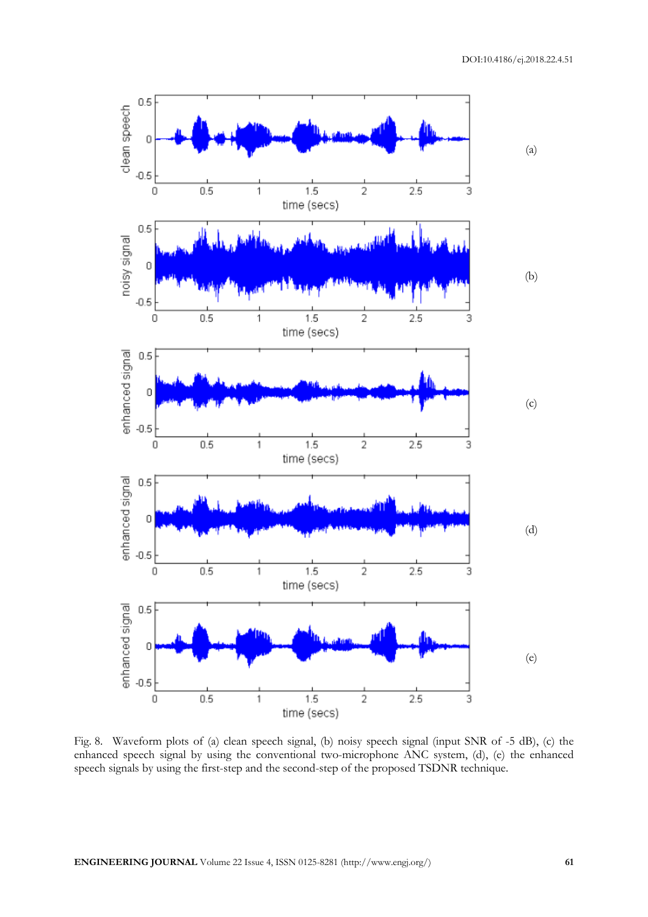

Fig. 8. Waveform plots of (a) clean speech signal, (b) noisy speech signal (input SNR of -5 dB), (c) the enhanced speech signal by using the conventional two-microphone ANC system, (d), (e) the enhanced speech signals by using the first-step and the second-step of the proposed TSDNR technique.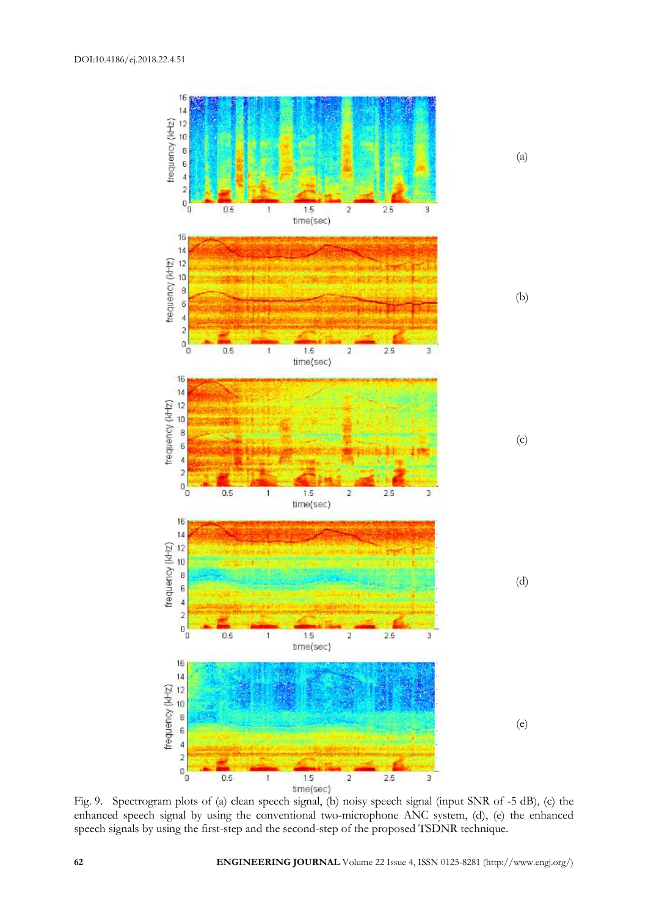

time(sec)<br>Fig. 9. Spectrogram plots of (a) clean speech signal, (b) noisy speech signal (input SNR of -5 dB), (c) the enhanced speech signal by using the conventional two-microphone ANC system, (d), (e) the enhanced speech signals by using the first-step and the second-step of the proposed TSDNR technique.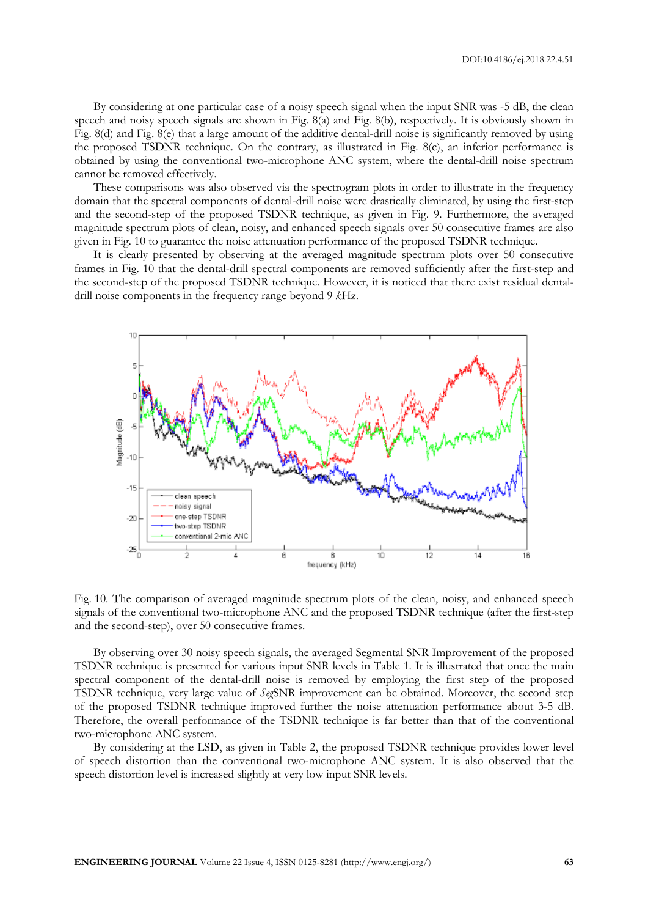By considering at one particular case of a noisy speech signal when the input SNR was -5 dB, the clean speech and noisy speech signals are shown in Fig. 8(a) and Fig. 8(b), respectively. It is obviously shown in Fig. 8(d) and Fig. 8(e) that a large amount of the additive dental-drill noise is significantly removed by using the proposed TSDNR technique. On the contrary, as illustrated in Fig. 8(c), an inferior performance is obtained by using the conventional two-microphone ANC system, where the dental-drill noise spectrum cannot be removed effectively.

These comparisons was also observed via the spectrogram plots in order to illustrate in the frequency domain that the spectral components of dental-drill noise were drastically eliminated, by using the first-step and the second-step of the proposed TSDNR technique, as given in Fig. 9. Furthermore, the averaged magnitude spectrum plots of clean, noisy, and enhanced speech signals over 50 consecutive frames are also given in Fig. 10 to guarantee the noise attenuation performance of the proposed TSDNR technique.

It is clearly presented by observing at the averaged magnitude spectrum plots over 50 consecutive frames in Fig. 10 that the dental-drill spectral components are removed sufficiently after the first-step and the second-step of the proposed TSDNR technique. However, it is noticed that there exist residual dentaldrill noise components in the frequency range beyond 9 *k*Hz.



Fig. 10. The comparison of averaged magnitude spectrum plots of the clean, noisy, and enhanced speech signals of the conventional two-microphone ANC and the proposed TSDNR technique (after the first-step and the second-step), over 50 consecutive frames.

By observing over 30 noisy speech signals, the averaged Segmental SNR Improvement of the proposed TSDNR technique is presented for various input SNR levels in Table 1. It is illustrated that once the main spectral component of the dental-drill noise is removed by employing the first step of the proposed TSDNR technique, very large value of *Seg*SNR improvement can be obtained. Moreover, the second step of the proposed TSDNR technique improved further the noise attenuation performance about 3-5 dB. Therefore, the overall performance of the TSDNR technique is far better than that of the conventional two-microphone ANC system.

By considering at the LSD, as given in Table 2, the proposed TSDNR technique provides lower level of speech distortion than the conventional two-microphone ANC system. It is also observed that the speech distortion level is increased slightly at very low input SNR levels.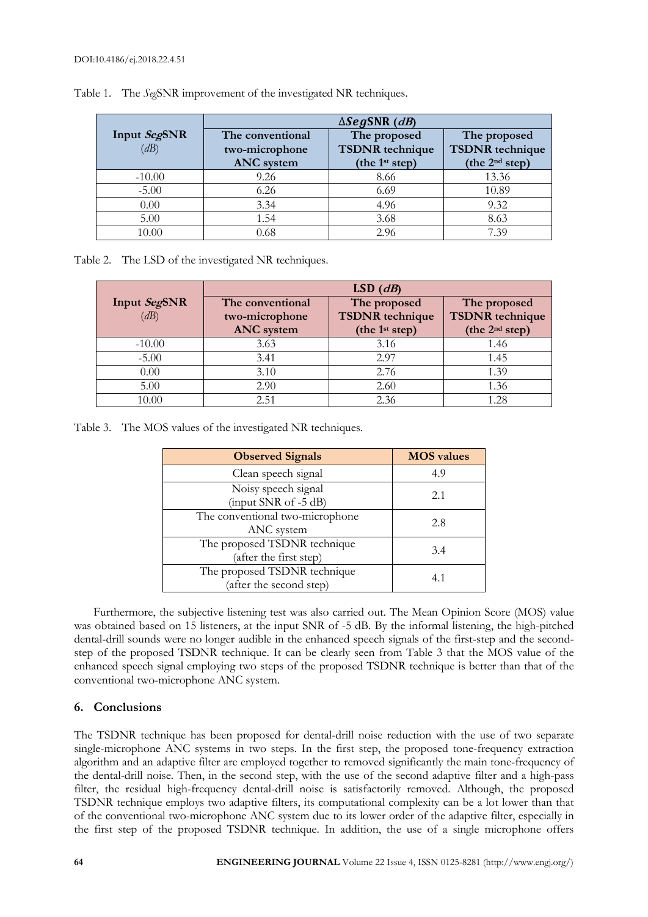|                     | $\triangle SegSNR$ (dB)            |                                        |                                        |
|---------------------|------------------------------------|----------------------------------------|----------------------------------------|
| Input SegSNR<br>(dB | The conventional<br>two-microphone | The proposed<br><b>TSDNR</b> technique | The proposed<br><b>TSDNR</b> technique |
|                     | <b>ANC</b> system                  | (the $1st$ step)                       | (the $2nd$ step)                       |
| $-10.00$            | 9.26                               | 8.66                                   | 13.36                                  |
| $-5.00$             | 6.26                               | 6.69                                   | 10.89                                  |
| 0.00                | 3.34                               | 4.96                                   | 9.32                                   |
| 5.00                | 1.54                               | 3.68                                   | 8.63                                   |
| 10.00               | 0.68                               | 2.96                                   | 7.39                                   |

|  | Table 1. The SegSNR improvement of the investigated NR techniques. |  |  |
|--|--------------------------------------------------------------------|--|--|
|  |                                                                    |  |  |

Table 2. The LSD of the investigated NR techniques.

| Input SegSNR<br>(dB) | The conventional<br>two-microphone<br><b>ANC</b> system | The proposed<br><b>TSDNR</b> technique<br>(the $1st$ step) | The proposed<br><b>TSDNR</b> technique<br>(the 2 <sup>nd</sup> step) |
|----------------------|---------------------------------------------------------|------------------------------------------------------------|----------------------------------------------------------------------|
| $-10.00$             | 3.63                                                    | 3.16                                                       | 1.46                                                                 |
| $-5.00$              | 3.41                                                    | 2.97                                                       | 1.45                                                                 |
| 0.00                 | 3.10                                                    | 2.76                                                       | 1.39                                                                 |
| 5.00                 | 2.90                                                    | 2.60                                                       | 1.36                                                                 |
| 10.00                | 2.51                                                    | 2.36                                                       | 1.28                                                                 |

Table 3. The MOS values of the investigated NR techniques.

| <b>Observed Signals</b>                                 | <b>MOS</b> values |
|---------------------------------------------------------|-------------------|
| Clean speech signal                                     | 4.9               |
| Noisy speech signal<br>(input SNR of -5 dB)             | 2.1               |
| The conventional two-microphone<br>ANC system           | 2.8               |
| The proposed TSDNR technique<br>(after the first step)  | 3.4               |
| The proposed TSDNR technique<br>(after the second step) | 4.1               |

Furthermore, the subjective listening test was also carried out. The Mean Opinion Score (MOS) value was obtained based on 15 listeners, at the input SNR of -5 dB. By the informal listening, the high-pitched dental-drill sounds were no longer audible in the enhanced speech signals of the first-step and the secondstep of the proposed TSDNR technique. It can be clearly seen from Table 3 that the MOS value of the enhanced speech signal employing two steps of the proposed TSDNR technique is better than that of the conventional two-microphone ANC system.

# **6. Conclusions**

The TSDNR technique has been proposed for dental-drill noise reduction with the use of two separate single-microphone ANC systems in two steps. In the first step, the proposed tone-frequency extraction algorithm and an adaptive filter are employed together to removed significantly the main tone-frequency of the dental-drill noise. Then, in the second step, with the use of the second adaptive filter and a high-pass filter, the residual high-frequency dental-drill noise is satisfactorily removed. Although, the proposed TSDNR technique employs two adaptive filters, its computational complexity can be a lot lower than that of the conventional two-microphone ANC system due to its lower order of the adaptive filter, especially in the first step of the proposed TSDNR technique. In addition, the use of a single microphone offers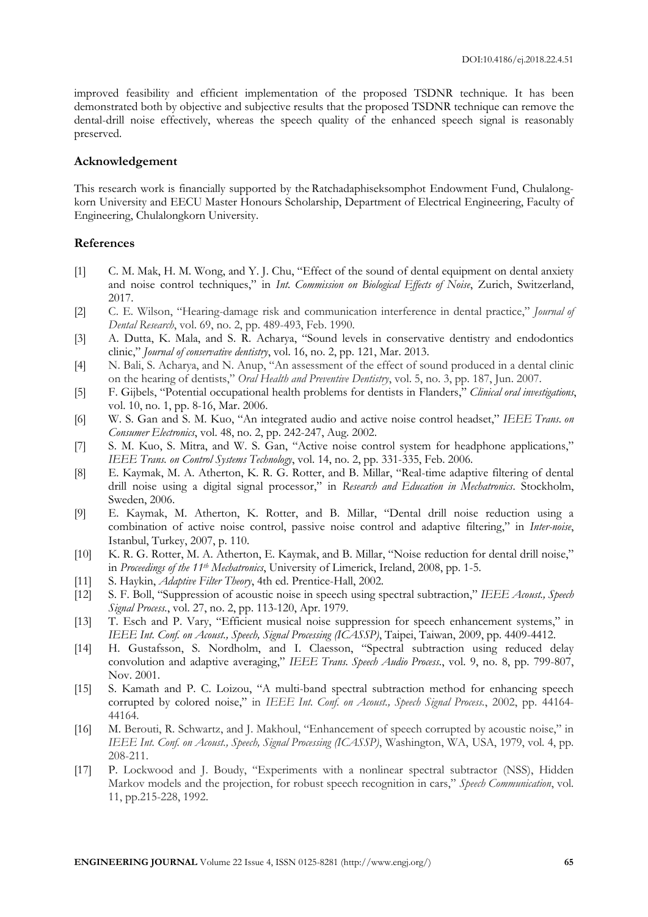improved feasibility and efficient implementation of the proposed TSDNR technique. It has been demonstrated both by objective and subjective results that the proposed TSDNR technique can remove the dental-drill noise effectively, whereas the speech quality of the enhanced speech signal is reasonably preserved.

#### **Acknowledgement**

This research work is financially supported by the Ratchadaphiseksomphot Endowment Fund, Chulalongkorn University and EECU Master Honours Scholarship, Department of Electrical Engineering, Faculty of Engineering, Chulalongkorn University.

#### **References**

- [1] C. M. Mak, H. M. Wong, and Y. J. Chu, "Effect of the sound of dental equipment on dental anxiety and noise control techniques," in *Int. Commission on Biological Effects of Noise*, Zurich, Switzerland, 2017.
- [2] C. E. Wilson, "Hearing-damage risk and communication interference in dental practice," *Journal of Dental Research*, vol. 69, no. 2, pp. 489-493, Feb. 1990.
- [3] A. Dutta, K. Mala, and S. R. Acharya, "Sound levels in conservative dentistry and endodontics clinic," *Journal of conservative dentistry*, vol. 16, no. 2, pp. 121, Mar. 2013.
- [4] N. Bali, S. Acharya, and N. Anup, "An assessment of the effect of sound produced in a dental clinic on the hearing of dentists," *Oral Health and Preventive Dentistry*, vol. 5, no. 3, pp. 187, Jun. 2007.
- [5] F. Gijbels, "Potential occupational health problems for dentists in Flanders," *Clinical oral investigations*, vol. 10, no. 1, pp. 8-16, Mar. 2006.
- [6] W. S. Gan and S. M. Kuo, "An integrated audio and active noise control headset," *IEEE Trans. on Consumer Electronics*, vol. 48, no. 2, pp. 242-247, Aug. 2002.
- [7] S. M. Kuo, S. Mitra, and W. S. Gan, "Active noise control system for headphone applications," *IEEE Trans. on Control Systems Technology*, vol. 14, no. 2, pp. 331-335, Feb. 2006.
- [8] E. Kaymak, M. A. Atherton, K. R. G. Rotter, and B. Millar, "Real-time adaptive filtering of dental drill noise using a digital signal processor," in *Research and Education in Mechatronics*. Stockholm, Sweden, 2006.
- [9] E. Kaymak, M. Atherton, K. Rotter, and B. Millar, "Dental drill noise reduction using a combination of active noise control, passive noise control and adaptive filtering," in *Inter-noise*, Istanbul, Turkey, 2007, p. 110.
- [10] K. R. G. Rotter, M. A. Atherton, E. Kaymak, and B. Millar, "Noise reduction for dental drill noise," in *Proceedings of the 11th Mechatronics*, University of Limerick, Ireland, 2008, pp. 1-5.
- [11] S. Haykin, *Adaptive Filter Theory*, 4th ed. Prentice-Hall, 2002.
- [12] S. F. Boll, "Suppression of acoustic noise in speech using spectral subtraction," *IEEE Acoust., Speech Signal Process.*, vol. 27, no. 2, pp. 113-120, Apr. 1979.
- [13] T. Esch and P. Vary, "Efficient musical noise suppression for speech enhancement systems," in *IEEE Int. Conf. on Acoust., Speech, Signal Processing (ICASSP)*, Taipei, Taiwan, 2009, pp. 4409-4412.
- [14] H. Gustafsson, S. Nordholm, and I. Claesson, "Spectral subtraction using reduced delay convolution and adaptive averaging," *IEEE Trans. Speech Audio Process.*, vol. 9, no. 8, pp. 799-807, Nov. 2001.
- [15] S. Kamath and P. C. Loizou, "A multi-band spectral subtraction method for enhancing speech corrupted by colored noise," in *IEEE Int. Conf. on Acoust., Speech Signal Process.*, 2002, pp. 44164- 44164.
- [16] M. Berouti, R. Schwartz, and J. Makhoul, "Enhancement of speech corrupted by acoustic noise," in *IEEE Int. Conf. on Acoust., Speech, Signal Processing (ICASSP)*, Washington, WA, USA, 1979, vol. 4, pp. 208-211.
- [17] P. Lockwood and J. Boudy, "Experiments with a nonlinear spectral subtractor (NSS), Hidden Markov models and the projection, for robust speech recognition in cars," *Speech Communication*, vol. 11, pp.215-228, 1992.